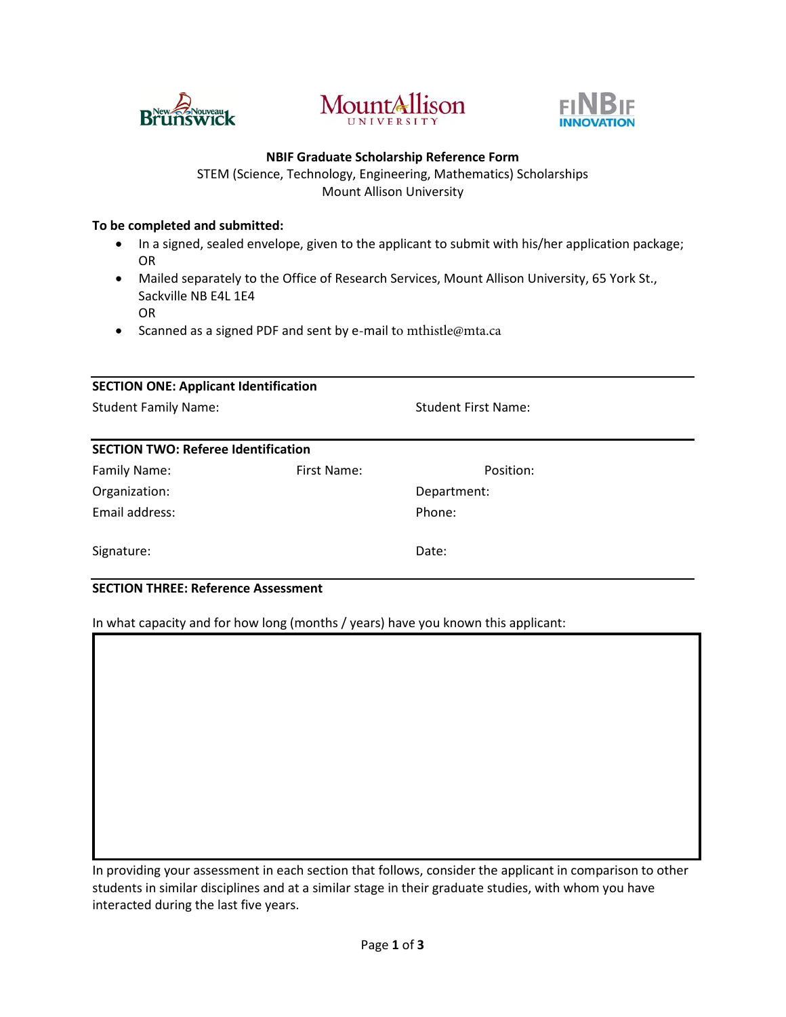





### **NBIF Graduate Scholarship Reference Form**

STEM (Science, Technology, Engineering, Mathematics) Scholarships Mount Allison University

### **To be completed and submitted:**

- In a signed, sealed envelope, given to the applicant to submit with his/her application package; OR
- Mailed separately to the Office of Research Services, Mount Allison University, 65 York St., Sackville NB E4L 1E4 OR
- Scanned as a signed PDF and sent by e-mail t[o mthistle@mta.ca](mailto:dwbruce@mta.ca)

| <b>SECTION ONE: Applicant Identification</b> |             |                            |  |  |  |
|----------------------------------------------|-------------|----------------------------|--|--|--|
| <b>Student Family Name:</b>                  |             | <b>Student First Name:</b> |  |  |  |
| <b>SECTION TWO: Referee Identification</b>   |             |                            |  |  |  |
| Family Name:                                 | First Name: | Position:                  |  |  |  |
| Organization:                                |             | Department:                |  |  |  |
| Email address:                               |             | Phone:                     |  |  |  |
| Signature:                                   |             | Date:                      |  |  |  |

## **SECTION THREE: Reference Assessment**

In what capacity and for how long (months / years) have you known this applicant:

In providing your assessment in each section that follows, consider the applicant in comparison to other students in similar disciplines and at a similar stage in their graduate studies, with whom you have interacted during the last five years.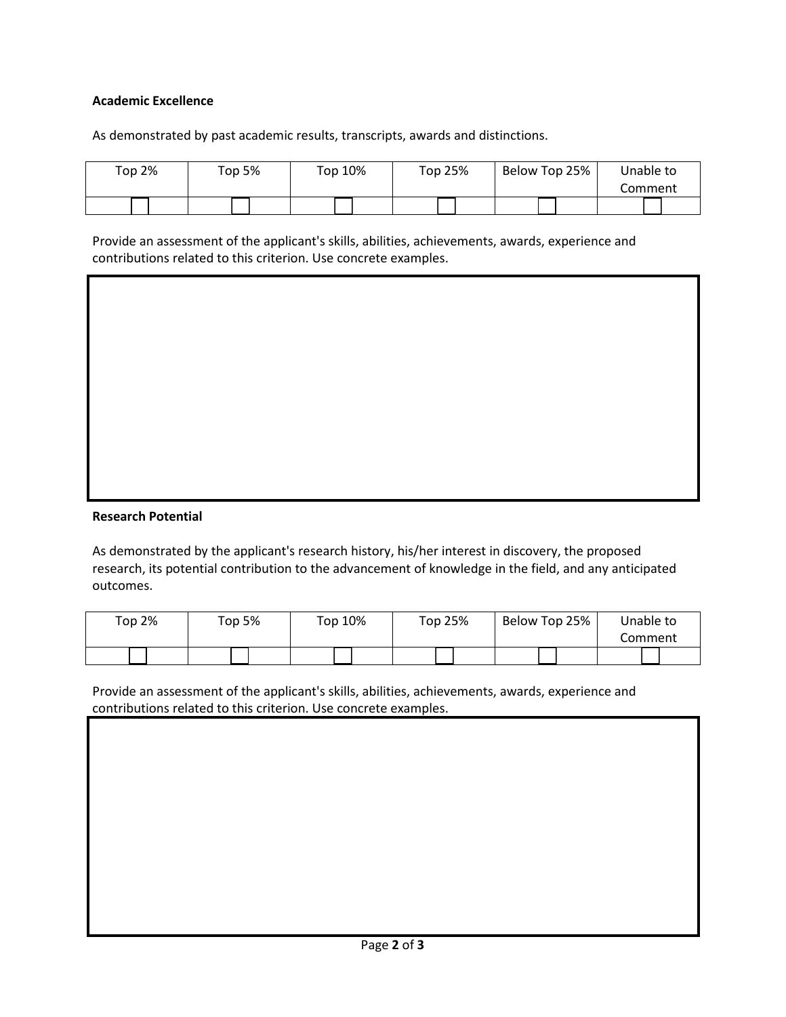# **Academic Excellence**

As demonstrated by past academic results, transcripts, awards and distinctions.

| Top 2% | Top 5% | Top 10% | Top 25% | Below Top 25% | Unable to |
|--------|--------|---------|---------|---------------|-----------|
|        |        |         |         |               | Comment   |
|        |        |         |         |               |           |

Provide an assessment of the applicant's skills, abilities, achievements, awards, experience and contributions related to this criterion. Use concrete examples.

## **Research Potential**

As demonstrated by the applicant's research history, his/her interest in discovery, the proposed research, its potential contribution to the advancement of knowledge in the field, and any anticipated outcomes.

| Top 2% | <b>Top 5%</b> | Top 10% | Top 25% | Below Top 25% | Unable to |
|--------|---------------|---------|---------|---------------|-----------|
|        |               |         |         |               | Comment   |
|        |               |         |         |               |           |

Provide an assessment of the applicant's skills, abilities, achievements, awards, experience and contributions related to this criterion. Use concrete examples.